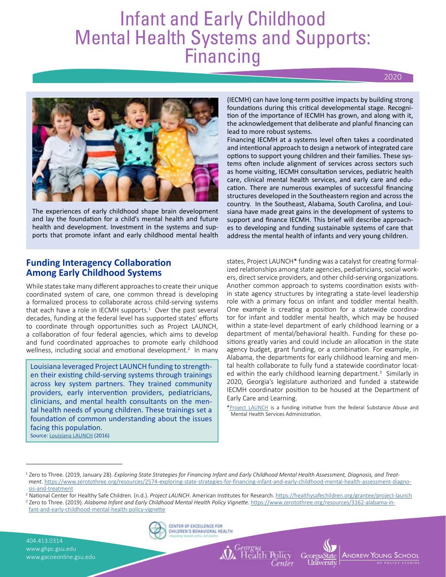# Infant and Early Childhood Mental Health Systems and Supports: Financing

2020



The experiences of early childhood shape brain development and lay the foundation for a child's mental health and future health and development. Investment in the systems and supports that promote infant and early childhood mental health

(IECMH) can have long-term positive impacts by building strong foundations during this critical developmental stage. Recognition of the importance of IECMH has grown, and along with it, the acknowledgement that deliberate and planful financing can lead to more robust systems.

Financing IECMH at a systems level often takes a coordinated and intentional approach to design a network of integrated care options to support young children and their families. These systems often include alignment of services across sectors such as home visiting, IECMH consultation services, pediatric health care, clinical mental health services, and early care and education. There are numerous examples of successful financing structures developed in the Southeastern region and across the country. In the Southeast, Alabama, South Carolina, and Louisiana have made great gains in the development of systems to support and finance IECMH. This brief will describe approaches to developing and funding sustainable systems of care that address the mental health of infants and very young children.

# **Funding Interagency Collaboration Among Early Childhood Systems**

While states take many different approaches to create their unique coordinated system of care, one common thread is developing a formalized process to collaborate across child-serving systems that each have a role in IECMH supports. $1$  Over the past several decades, funding at the federal level has supported states' efforts to coordinate through opportunities such as Project LAUNCH, a collaboration of four federal agencies, which aims to develop and fund coordinated approaches to promote early childhood wellness, including social and emotional development.<sup>2</sup> In many

Louisiana leveraged Project LAUNCH funding to strengthen their existing child-serving systems through trainings across key system partners. They trained community providers, early intervention providers, pediatricians, clinicians, and mental health consultants on the mental health needs of young children. These trainings set a foundation of common understanding about the issues facing this population. Source: [Louisiana LAUNCH](https://healthysafechildren.org/sites/default/files/Louisiana-Profile-508.pdf) (2016)

states, Project LAUNCH\* funding was a catalyst for creating formalized relationships among state agencies, pediatricians, social workers, direct service providers, and other child-serving organizations. Another common approach to systems coordination exists within state agency structures by integrating a state-level leadership role with a primary focus on infant and toddler mental health. One example is creating a position for a statewide coordinator for infant and toddler mental health, which may be housed within a state-level department of early childhood learning or a department of mental/behavioral health. Funding for these positions greatly varies and could include an allocation in the state agency budget, grant funding, or a combination. For example, in Alabama, the departments for early childhood learning and mental health collaborate to fully fund a statewide coordinator located within the early childhood learning department.<sup>3</sup> Similarly in 2020, Georgia's legislature authorized and funded a statewide IECMH coordinator position to be housed at the Department of Early Care and Learning.

[\\*Project LAUNCH](https://healthysafechildren.org/grantee/project-launch) is a funding initiative from the federal Substance Abuse and Mental Health Services Administration.

404.413.0314 www.ghpc.gsu.edu www.gacoeonline.gsu.edu





<sup>&</sup>lt;sup>1</sup> Zero to Three. (2019, January 28). *Exploring State Strategies for Financing Infant and Early Childhood Mental Health Assessment, Diagnosis, and Treatment*. [https://www.zerotothree.org/resources/2574-exploring-state-strategies-for-financing-infant-and-early-childhood-mental-health-assessment-diagno](https://www.zerotothree.org/resources/2574-exploring-state-strategies-for-financing-infant-and-early-childhood-mental-health-assessment-diagnosis-and-treatment)[sis-and-treatment](https://www.zerotothree.org/resources/2574-exploring-state-strategies-for-financing-infant-and-early-childhood-mental-health-assessment-diagnosis-and-treatment)

<sup>2</sup> National Center for Healthy Safe Children. (n.d.). *Project LAUNCH*. American Institutes for Research. <https://healthysafechildren.org/grantee/project-launch>

<sup>&</sup>lt;sup>3</sup> Zero to Three. (2019). *Alabama Infant and Early Childhood Mental Health Policy Vignette.* [https://www.zerotothree.org/resources/3162-alabama-in](https://www.zerotothree.org/resources/3162-alabama-infant-and-early-childhood-mental-health-policy-vignette)[fant-and-early-childhood-mental-health-policy-vignette](https://www.zerotothree.org/resources/3162-alabama-infant-and-early-childhood-mental-health-policy-vignette)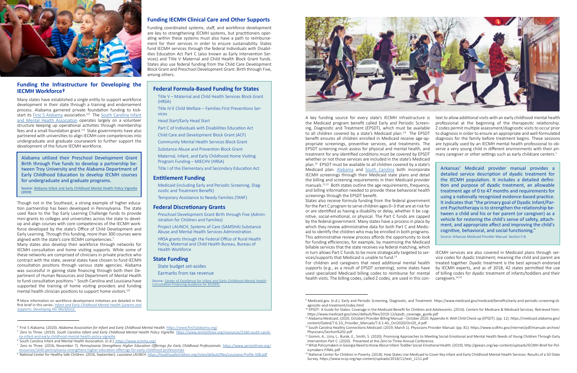

# **Funding the Infrastructure for Developing the IECMH Workforce†**

Though not in the Southeast, a strong example of higher education partnership has been developed in Pennsylvania. The state used Race to the Top Early Learning Challenge funds to provide mini-grants to colleges and universities across the state to develop and align courses with core competencies of the IECMH workforce developed by the state's Office of Child Development and Early Learning. Through this funding, more than 300 courses were aligned with the state's core IECMH competencies.<sup>7</sup>

Many states have established a single entity to support workforce development in their state through a training and endorsement process. Alabama garnered private foundation funding to kick-start its [First 5 Alabama](https://www.first5alabama.org) association.<sup>3,4</sup> The [South Carolina Infant](https://www.scimha.org) [and Mental Health Association](https://www.scimha.org) operates largely on a volunteer structure keeping up operational activities through membership fees and a small foundation grant.5,6 State governments have also partnered with universities to align IECMH core competencies into undergraduate and graduate coursework to further support the development of the future IECMH workforce.

Many states also develop their workforce through networks for IECMH consultation and home visiting supports. While some of these networks are comprised of clinicians in private practice who contract with the state, several states have chosen to fund IECMH consultation positions through various state agencies. Alabama was successful in gaining state financing through both their Department of Human Resources and Department of Mental Health to fund consultation positions.<sup>3</sup> South Carolina and Louisiana have supported the training of home visiting providers and funding mental health clinician positions to support home visitors.<sup>5,8</sup>

**†** More information on workforce development initiatives are detailed in the first brief in this series: *[Infant and Early Childhood Mental Health Systems and](https://gacoeonline.gsu.edu/download/infant-and-early-childhood-mental-health-systems-and-supports-developing-the-workforce/) [Supports: Developing the Workforce.](https://gacoeonline.gsu.edu/download/infant-and-early-childhood-mental-health-systems-and-supports-developing-the-workforce/)*

<sup>4</sup>First 5 Alabama. (2020). *Alabama Association for Infant and Early Childhood Mental Health*. [https://www.first5alabama.org/](https://www.first5alabama.org)

[na-infant-and-early-childhood-mental-health-policy-vignette](https://www.zerotothree.org/resources/3160-south-carolina-infant-and-early-childhood-mental-health-policy-vignette)

6 South Carolina Infant and Mental Health Association. (n.d.)[. https://www.scimha.org/](https://www.scimha.org)

A key funding source for every state's IECMH infrastructure is the Medicaid program benefit called Early and Periodic Screening, Diagnostic and Treatment (EPSDT), which must be available to all children covered by a state's Medicaid plan.<sup>1,9</sup> The EPSDT benefit ensures all children enrolled in Medicaid receive age-appropriate screenings, preventive services, and treatments. The EPSDT screening must assess for physical and mental health, and treatment for any identified conditions must be covered by EPSDT whether or not those services are included in the state's Medicaid plan.10 EPSDT must be available to all children covered by a state's Medicaid plan. [Alabama](https://medicaid.alabama.gov/content/Gated/7.6.1G_Provider_Manuals/7.6.1.4G_Oct2020/Oct20_A.pdf) and [South Carolina](https://www.scdhhs.gov/internet/pdf/manuals-archive/Physicians/Section%202.pdf) both incorporate IECMH screenings through their Medicaid state plans and detail the billing and screening requirements in their Medicaid provider manuals.<sup>11,12</sup> Both states outline the age requirements, frequency, and billing information needed to provide these behavioral health screenings through the EPSDT benefit. States also receive formula funding from the federal government Arkansas' Medicaid provider manual provides a detailed service description of dyadic treatment for the IECMH population. It includes a detailed definition and purpose of dyadic treatment, an allowable treatment age of 0 to 47 months and requirements for using a nationally recognized evidence-based practice. It indicates that "the primary goal of Dyadic Infant/Parent Psychotherapy is to strengthen the relationship between a child and his or her parent (or caregiver) as a vehicle for restoring the child's sense of safety, attachment, and appropriate affect and improving the child's cognitive, behavioral, and social functioning." text to allow additional visits with an early childhood mental health professional at the beginning of the therapeutic relationship. Z codes permit multiple assessment/diagnostic visits to occur prior to diagnosis in order to ensure an appropriate and well-formulated diagnosis for the family before treatment begins. These sessions are typically used by an IECMH mental health professional to observe a very young child in different environments with their primary caregiver or other settings such as early childcare centers.<sup>1</sup>

7 Zero to Three. (2016, November 7). *Pennsylvania Strengthens Higher Education Offerings for Early Childhood Professionals*. [https://www.zerotothree.org/](https://www.zerotothree.org/resources/1640-pennsylvania-strengthens-higher-education-offerings-for-early-childhood-professionals)

<sup>5</sup> Zero to Three. (2019). South Carolina Infant and Early Childhood Mental Health Policy Vianette. [https://www.zerotothree.org/resources/3160-south-caroli-](https://www.zerotothree.org/resources/3160-south-carolina-infant-and-early-childhood-mental-health-policy-vignette)

## **Funding IECMH Clinical Care and Other Supports**

Funding coordinated systems, staff, and workforce development are key to strengthening IECMH systems, but practitioners operating within these systems must also have a path to reimbursement for their services in order to ensure sustainability. States fund IECMH services through the federal Individuals with Disabilities Education Act Part C (also known as Early Intervention Services) and Title V Maternal and Child Health Block Grant funds. States also use federal funding from the Child Care Development Block Grant and Preschool Development Grant: Birth through Five, among others.

9 Medicaid.gov. (n.d.). Early and Periodic Screening, Diagnostic, and Treatment. https://www.medicaid.gov/medicaid/benefits/early-and-periodic-screening-di-

<sup>10</sup> EPSDT-A Guide for States: Coverage in the Medicaid Benefit for Children and Adolescents. (2014). Centers for Medicare & Medicaid Services. Retrieved from:

<sup>12</sup> South Carolina Healthy Connections Medicaid. (2019, March 1). Physicians Provider Manual. (pp. 81). https://www.scdhhs.gov/internet/pdf/manuals-archive/

<sup>13</sup> Gomm, A., Usry, L., Burak, E., Smith, S. (2020). Promising Approaches to Meeting Social-Emotional and Mental Health Needs of Young Children Through Early

<sup>15</sup> National Center for Children in Poverty. (2018). How States Use Medicaid to Cover Key Infant and Early Childhood Mental Health Services: Results of a 50-State

Source: [Center of Excellence for Infant and Early Childhood Mental Health](https://www.samhsa.gov/sites/default/files/programs_campaigns/IECMHC/financing-guidance-infant-early-child-mental-health-consult.pdf) on Financing Guidance for IECMHC



for the Part C program to serve children ages 0–3 that are at-risk for or are identified as having a disability or delay, whether it be cognitive, social-emotional, or physical. The Part C funds are capped by the federal government. Many states have a process in place by which they review administrative data for both Part C and Medicaid to identify the children who may be enrolled in both programs. This administrative review process affords the opportunity to look for funding efficiencies, for example, by maximizing the Medicaid billable services that the state receives via federal matching, which in turn allows Part C funds to be more strategically targeted to ser-

Source: Arkansas Medicaid Provider Manual. Section II-8.

Alabama utilized their Preschool Development Grant Birth through Five funds to develop a partnership between Troy University and the Alabama Department of Early Childhood Education to develop IECMH courses for undergraduate and graduate programs.

Source: [Alabama Infant and Early Childhood Mental Health Policy Vignette](https://www.zerotothree.org/resources/3162-alabama-infant-and-early-childhood-mental-health-policy-vignette) (2019)

## **Federal Formula-Based Funding for States**

Title V – Maternal and Child Health Services Block Grant (HRSA)

Title IV-E Child Welfare – Families First Preventions Services

Head Start/Early Head Start

Part C of Individuals with Disabilities Education Act

Child Care and Development Block Grant (ACF)

Community Mental Health Services Block Grant

Substance Abuse and Prevention Block Grant

vices/supports that Medicaid is unable to fund.<sup>13</sup> For children and caregivers that need additional mental health supports (e.g., as a result of EPSDT screening), some states have used specialized Medicaid billing codes to reimburse for mental health visits. The billing codes, called Z codes, are used in this con-IECMH services are also covered in Medicaid plans through service codes for dyadic treatment; meaning the child and parent are treated together. Dyadic treatment is the best aproach endorsed by IECMH experts, and as of 2018, 42 states permitted the use of billing codes for dyadic treatment of infants/toddlers and their caregivers.14,15

Maternal, Infant, and Early Childhood Home Visiting Program Funding – MIECHV (HRSA)

Title I of the Elementary and Secondary Education Act

### **Entitlement Funding**

Medicaid (including Early and Periodic Screening, Diagnostic and Treatment Benefit)

Temporary Assistance to Needy Families (TANF)

### **Federal Discretionary Grants**

Preschool Development Grant Birth through Five (Administration for Children and Families)

Project LAUNCH, Systems of Care (SAMSHA) Substance Abuse and Mental Health Services Administration.

HRSA grants through the Federal Office of Rural Health Policy, Maternal and Child Health Bureau, Bureau of Health Workforce

#### **State Funding**

State budget set-asides

Earmarks from tax revenue

[resources/1640-pennsylvania-strengthens-higher-education-offerings-for-early-childhood-professionals](https://www.zerotothree.org/resources/1640-pennsylvania-strengthens-higher-education-offerings-for-early-childhood-professionals) 8 National Center for Healthy Safe Children. (2016, September). *Louisiana LAUNCH.* [https://healthysafechildren.org//sites/default/files/Louisiana-Profile-508.pdf](https://healthysafechildren.org/sites/default/files/Louisiana-Profile-508.pdf)

agnostic-and-treatment/index.html

https://www.medicaid.gov/sites/default/files/2019-12/epsdt\_coverage\_guide.pdf <sup>11</sup> Alabama Medicaid. (2020, October) Provider Billing Manual – October 2020. Appendix A: Well Child Check-up (EPSDT). (pp. 12). https://medicaid.alabama.gov/ content/Gated/7.6.1G\_Provider\_Manuals/7.6.1.4G\_Oct2020/Oct20\_A.pdf Physicians/Section%202.pdf

Intervention Part C. (2020). Presented at the Zero to Three Annual Conference. 14 What Policymakers in Georgia Need to Know About Infant-Toddler Social-Emotional Health. (2019). http://geears.org/wp-content/uploads/IECMH-Brief-for-Policymakers-FINAL.pdf

Survey. https://www.nccp.org/wp-content/uploads/2018/11/text\_1211.pdf